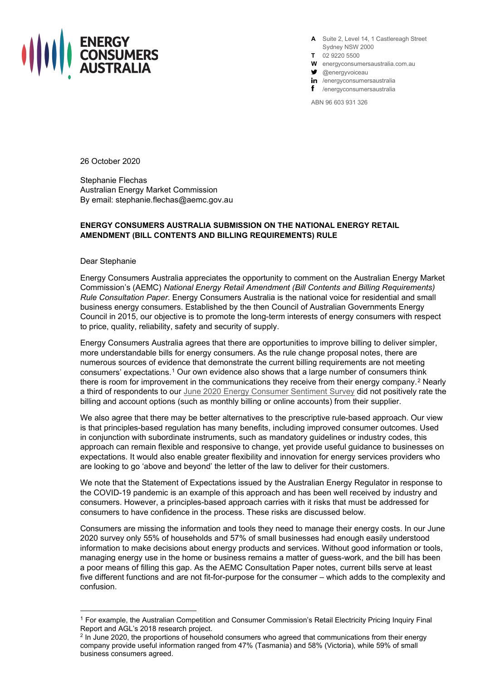

**A** Suite 2, Level 14, 1 Castlereagh Street Sydney NSW 2000

- **T** 02 9220 5500
- **W** energyconsumersaustralia.com.au
- $\bullet$  @energyvoiceau
- in /energyconsumersaustralia
- f /energyconsumersaustralia

ABN 96 603 931 326

26 October 2020

Stephanie Flechas Australian Energy Market Commission By email: stephanie.flechas@aemc.gov.au

## **ENERGY CONSUMERS AUSTRALIA SUBMISSION ON THE NATIONAL ENERGY RETAIL AMENDMENT (BILL CONTENTS AND BILLING REQUIREMENTS) RULE**

Dear Stephanie

Energy Consumers Australia appreciates the opportunity to comment on the Australian Energy Market Commission's (AEMC) *National Energy Retail Amendment (Bill Contents and Billing Requirements) Rule Consultation Paper*. Energy Consumers Australia is the national voice for residential and small business energy consumers. Established by the then Council of Australian Governments Energy Council in 2015, our objective is to promote the long-term interests of energy consumers with respect to price, quality, reliability, safety and security of supply.

Energy Consumers Australia agrees that there are opportunities to improve billing to deliver simpler, more understandable bills for energy consumers. As the rule change proposal notes, there are numerous sources of evidence that demonstrate the current billing requirements are not meeting consumers' expectations.[1](#page-0-0) Our own evidence also shows that a large number of consumers think there is room for improvement in the communications they receive from their energy company.<sup>[2](#page-0-1)</sup> Nearly a third of respondents to our [June 2020 Energy Consumer Sentiment Survey](https://energyconsumersaustralia.com.au/publications/energy-consumer-sentiment-survey-findings-june-2020-covid-special-reports) did not positively rate the billing and account options (such as monthly billing or online accounts) from their supplier.

We also agree that there may be better alternatives to the prescriptive rule-based approach. Our view is that principles-based regulation has many benefits, including improved consumer outcomes. Used in conjunction with subordinate instruments, such as mandatory guidelines or industry codes, this approach can remain flexible and responsive to change, yet provide useful guidance to businesses on expectations. It would also enable greater flexibility and innovation for energy services providers who are looking to go 'above and beyond' the letter of the law to deliver for their customers.

We note that the Statement of Expectations issued by the Australian Energy Regulator in response to the COVID-19 pandemic is an example of this approach and has been well received by industry and consumers. However, a principles-based approach carries with it risks that must be addressed for consumers to have confidence in the process. These risks are discussed below.

Consumers are missing the information and tools they need to manage their energy costs. In our June 2020 survey only 55% of households and 57% of small businesses had enough easily understood information to make decisions about energy products and services. Without good information or tools, managing energy use in the home or business remains a matter of guess-work, and the bill has been a poor means of filling this gap. As the AEMC Consultation Paper notes, current bills serve at least five different functions and are not fit-for-purpose for the consumer – which adds to the complexity and confusion.

<span id="page-0-0"></span><sup>1</sup> For example, the Australian Competition and Consumer Commission's Retail Electricity Pricing Inquiry Final Report and AGL's 2018 research project.

<span id="page-0-1"></span><sup>&</sup>lt;sup>2</sup> In June 2020, the proportions of household consumers who agreed that communications from their energy company provide useful information ranged from 47% (Tasmania) and 58% (Victoria), while 59% of small business consumers agreed.